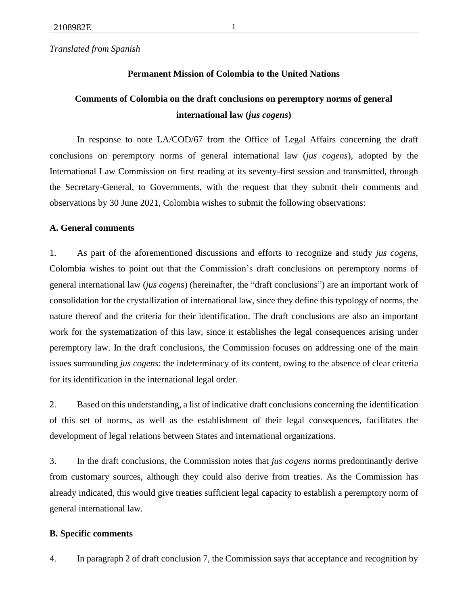*Translated from Spanish*

## **Permanent Mission of Colombia to the United Nations**

# **Comments of Colombia on the draft conclusions on peremptory norms of general international law (***jus cogens***)**

In response to note LA/COD/67 from the Office of Legal Affairs concerning the draft conclusions on peremptory norms of general international law (*jus cogens*), adopted by the International Law Commission on first reading at its seventy-first session and transmitted, through the Secretary-General, to Governments, with the request that they submit their comments and observations by 30 June 2021, Colombia wishes to submit the following observations:

### **A. General comments**

1. As part of the aforementioned discussions and efforts to recognize and study *jus cogens*, Colombia wishes to point out that the Commission's draft conclusions on peremptory norms of general international law (*jus cogen*s) (hereinafter, the "draft conclusions") are an important work of consolidation for the crystallization of international law, since they define this typology of norms, the nature thereof and the criteria for their identification. The draft conclusions are also an important work for the systematization of this law, since it establishes the legal consequences arising under peremptory law. In the draft conclusions, the Commission focuses on addressing one of the main issues surrounding *jus cogens*: the indeterminacy of its content, owing to the absence of clear criteria for its identification in the international legal order.

2. Based on this understanding, a list of indicative draft conclusions concerning the identification of this set of norms, as well as the establishment of their legal consequences, facilitates the development of legal relations between States and international organizations.

3. In the draft conclusions, the Commission notes that *jus cogens* norms predominantly derive from customary sources, although they could also derive from treaties. As the Commission has already indicated, this would give treaties sufficient legal capacity to establish a peremptory norm of general international law.

### **B. Specific comments**

4. In paragraph 2 of draft conclusion 7, the Commission says that acceptance and recognition by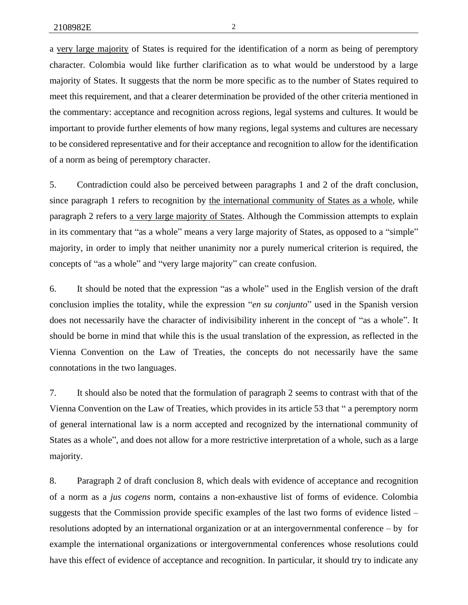a very large majority of States is required for the identification of a norm as being of peremptory character. Colombia would like further clarification as to what would be understood by a large majority of States. It suggests that the norm be more specific as to the number of States required to meet this requirement, and that a clearer determination be provided of the other criteria mentioned in the commentary: acceptance and recognition across regions, legal systems and cultures. It would be important to provide further elements of how many regions, legal systems and cultures are necessary to be considered representative and for their acceptance and recognition to allow for the identification of a norm as being of peremptory character.

5. Contradiction could also be perceived between paragraphs 1 and 2 of the draft conclusion, since paragraph 1 refers to recognition by the international community of States as a whole, while paragraph 2 refers to a very large majority of States. Although the Commission attempts to explain in its commentary that "as a whole" means a very large majority of States, as opposed to a "simple" majority, in order to imply that neither unanimity nor a purely numerical criterion is required, the concepts of "as a whole" and "very large majority" can create confusion.

6. It should be noted that the expression "as a whole" used in the English version of the draft conclusion implies the totality, while the expression "*en su conjunto*" used in the Spanish version does not necessarily have the character of indivisibility inherent in the concept of "as a whole". It should be borne in mind that while this is the usual translation of the expression, as reflected in the Vienna Convention on the Law of Treaties, the concepts do not necessarily have the same connotations in the two languages.

7. It should also be noted that the formulation of paragraph 2 seems to contrast with that of the Vienna Convention on the Law of Treaties, which provides in its article 53 that " a peremptory norm of general international law is a norm accepted and recognized by the international community of States as a whole", and does not allow for a more restrictive interpretation of a whole, such as a large majority.

8. Paragraph 2 of draft conclusion 8, which deals with evidence of acceptance and recognition of a norm as a *jus cogens* norm, contains a non-exhaustive list of forms of evidence. Colombia suggests that the Commission provide specific examples of the last two forms of evidence listed – resolutions adopted by an international organization or at an intergovernmental conference – by for example the international organizations or intergovernmental conferences whose resolutions could have this effect of evidence of acceptance and recognition. In particular, it should try to indicate any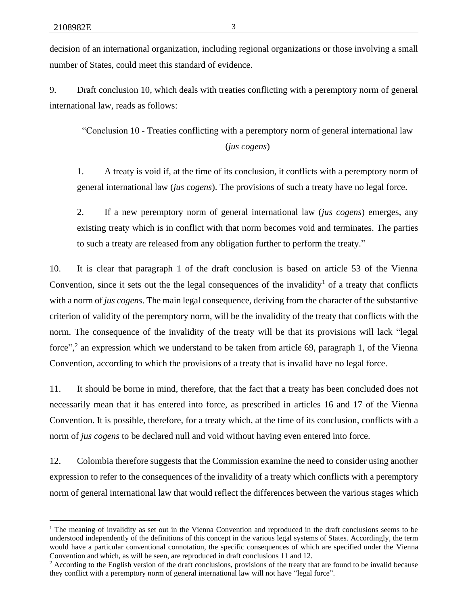decision of an international organization, including regional organizations or those involving a small number of States, could meet this standard of evidence.

9. Draft conclusion 10, which deals with treaties conflicting with a peremptory norm of general international law, reads as follows:

"Conclusion 10 - Treaties conflicting with a peremptory norm of general international law (*jus cogens*)

1. A treaty is void if, at the time of its conclusion, it conflicts with a peremptory norm of general international law (*jus cogens*). The provisions of such a treaty have no legal force.

2. If a new peremptory norm of general international law (*jus cogens*) emerges, any existing treaty which is in conflict with that norm becomes void and terminates. The parties to such a treaty are released from any obligation further to perform the treaty."

10. It is clear that paragraph 1 of the draft conclusion is based on article 53 of the Vienna Convention, since it sets out the the legal consequences of the invalidity<sup>1</sup> of a treaty that conflicts with a norm of *jus cogens*. The main legal consequence, deriving from the character of the substantive criterion of validity of the peremptory norm, will be the invalidity of the treaty that conflicts with the norm. The consequence of the invalidity of the treaty will be that its provisions will lack "legal force",<sup>2</sup> an expression which we understand to be taken from article 69, paragraph 1, of the Vienna Convention, according to which the provisions of a treaty that is invalid have no legal force.

11. It should be borne in mind, therefore, that the fact that a treaty has been concluded does not necessarily mean that it has entered into force, as prescribed in articles 16 and 17 of the Vienna Convention. It is possible, therefore, for a treaty which, at the time of its conclusion, conflicts with a norm of *jus cogens* to be declared null and void without having even entered into force.

12. Colombia therefore suggests that the Commission examine the need to consider using another expression to refer to the consequences of the invalidity of a treaty which conflicts with a peremptory norm of general international law that would reflect the differences between the various stages which

<sup>&</sup>lt;sup>1</sup> The meaning of invalidity as set out in the Vienna Convention and reproduced in the draft conclusions seems to be understood independently of the definitions of this concept in the various legal systems of States. Accordingly, the term would have a particular conventional connotation, the specific consequences of which are specified under the Vienna Convention and which, as will be seen, are reproduced in draft conclusions 11 and 12.

 $2$  According to the English version of the draft conclusions, provisions of the treaty that are found to be invalid because they conflict with a peremptory norm of general international law will not have "legal force".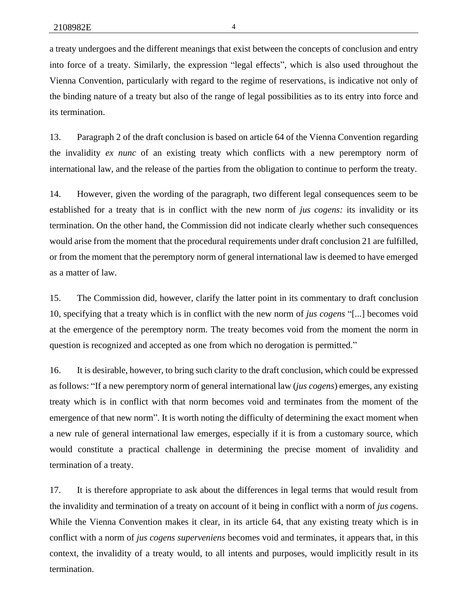a treaty undergoes and the different meanings that exist between the concepts of conclusion and entry into force of a treaty. Similarly, the expression "legal effects", which is also used throughout the Vienna Convention, particularly with regard to the regime of reservations, is indicative not only of the binding nature of a treaty but also of the range of legal possibilities as to its entry into force and its termination.

13. Paragraph 2 of the draft conclusion is based on article 64 of the Vienna Convention regarding the invalidity *ex nunc* of an existing treaty which conflicts with a new peremptory norm of international law, and the release of the parties from the obligation to continue to perform the treaty.

14. However, given the wording of the paragraph, two different legal consequences seem to be established for a treaty that is in conflict with the new norm of *jus cogens:* its invalidity or its termination. On the other hand, the Commission did not indicate clearly whether such consequences would arise from the moment that the procedural requirements under draft conclusion 21 are fulfilled, or from the moment that the peremptory norm of general international law is deemed to have emerged as a matter of law.

15. The Commission did, however, clarify the latter point in its commentary to draft conclusion 10, specifying that a treaty which is in conflict with the new norm of *jus cogens* "[...] becomes void at the emergence of the peremptory norm. The treaty becomes void from the moment the norm in question is recognized and accepted as one from which no derogation is permitted."

16. It is desirable, however, to bring such clarity to the draft conclusion, which could be expressed as follows: "If a new peremptory norm of general international law (*jus cogens*) emerges, any existing treaty which is in conflict with that norm becomes void and terminates from the moment of the emergence of that new norm". It is worth noting the difficulty of determining the exact moment when a new rule of general international law emerges, especially if it is from a customary source, which would constitute a practical challenge in determining the precise moment of invalidity and termination of a treaty.

17. It is therefore appropriate to ask about the differences in legal terms that would result from the invalidity and termination of a treaty on account of it being in conflict with a norm of *jus coge*ns. While the Vienna Convention makes it clear, in its article 64, that any existing treaty which is in conflict with a norm of *jus cogens superveniens* becomes void and terminates, it appears that, in this context, the invalidity of a treaty would, to all intents and purposes, would implicitly result in its termination.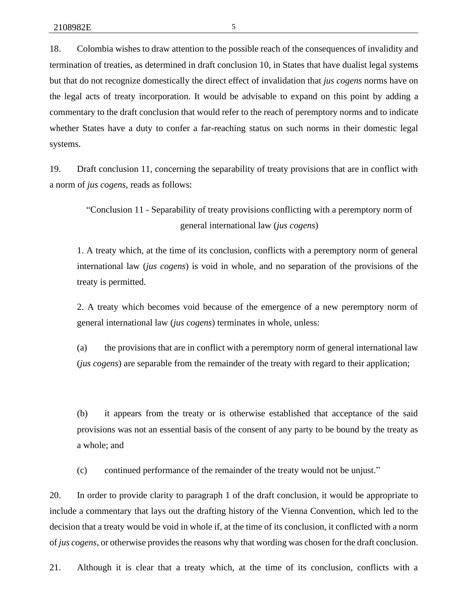18. Colombia wishes to draw attention to the possible reach of the consequences of invalidity and termination of treaties, as determined in draft conclusion 10, in States that have dualist legal systems but that do not recognize domestically the direct effect of invalidation that *jus cogens* norms have on the legal acts of treaty incorporation. It would be advisable to expand on this point by adding a commentary to the draft conclusion that would refer to the reach of peremptory norms and to indicate whether States have a duty to confer a far-reaching status on such norms in their domestic legal systems.

19. Draft conclusion 11, concerning the separability of treaty provisions that are in conflict with a norm of *jus cogens*, reads as follows:

"Conclusion 11 - Separability of treaty provisions conflicting with a peremptory norm of general international law (*jus cogens*)

1. A treaty which, at the time of its conclusion, conflicts with a peremptory norm of general international law (*jus cogens*) is void in whole, and no separation of the provisions of the treaty is permitted.

2. A treaty which becomes void because of the emergence of a new peremptory norm of general international law (*jus cogens*) terminates in whole, unless:

(a) the provisions that are in conflict with a peremptory norm of general international law (*jus cogens*) are separable from the remainder of the treaty with regard to their application;

(b) it appears from the treaty or is otherwise established that acceptance of the said provisions was not an essential basis of the consent of any party to be bound by the treaty as a whole; and

(c) continued performance of the remainder of the treaty would not be unjust."

20. In order to provide clarity to paragraph 1 of the draft conclusion, it would be appropriate to include a commentary that lays out the drafting history of the Vienna Convention, which led to the decision that a treaty would be void in whole if, at the time of its conclusion, it conflicted with a norm of *jus cogens*, or otherwise provides the reasons why that wording was chosen for the draft conclusion.

21. Although it is clear that a treaty which, at the time of its conclusion, conflicts with a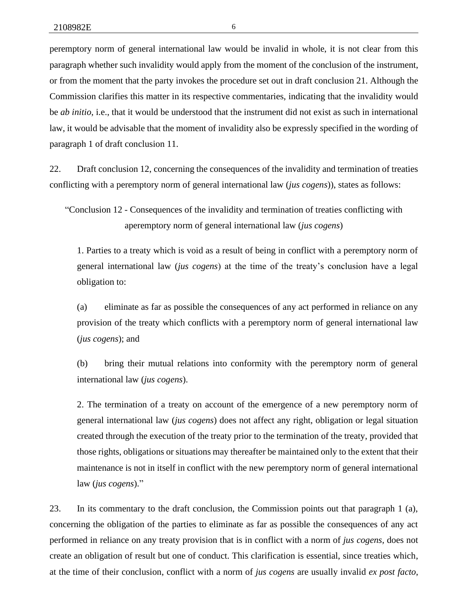peremptory norm of general international law would be invalid in whole, it is not clear from this paragraph whether such invalidity would apply from the moment of the conclusion of the instrument, or from the moment that the party invokes the procedure set out in draft conclusion 21. Although the Commission clarifies this matter in its respective commentaries, indicating that the invalidity would be *ab initio*, i.e., that it would be understood that the instrument did not exist as such in international law, it would be advisable that the moment of invalidity also be expressly specified in the wording of paragraph 1 of draft conclusion 11.

22. Draft conclusion 12, concerning the consequences of the invalidity and termination of treaties conflicting with a peremptory norm of general international law (*jus cogens*)), states as follows:

"Conclusion 12 - Consequences of the invalidity and termination of treaties conflicting with aperemptory norm of general international law (*jus cogens*)

1. Parties to a treaty which is void as a result of being in conflict with a peremptory norm of general international law (*jus cogens*) at the time of the treaty's conclusion have a legal obligation to:

(a) eliminate as far as possible the consequences of any act performed in reliance on any provision of the treaty which conflicts with a peremptory norm of general international law (*jus cogens*); and

(b) bring their mutual relations into conformity with the peremptory norm of general international law (*jus cogens*).

2. The termination of a treaty on account of the emergence of a new peremptory norm of general international law (*jus cogens*) does not affect any right, obligation or legal situation created through the execution of the treaty prior to the termination of the treaty, provided that those rights, obligations or situations may thereafter be maintained only to the extent that their maintenance is not in itself in conflict with the new peremptory norm of general international law (*jus cogens*)."

23. In its commentary to the draft conclusion, the Commission points out that paragraph 1 (a), concerning the obligation of the parties to eliminate as far as possible the consequences of any act performed in reliance on any treaty provision that is in conflict with a norm of *jus cogens,* does not create an obligation of result but one of conduct. This clarification is essential, since treaties which, at the time of their conclusion, conflict with a norm of *jus cogens* are usually invalid *ex post facto*,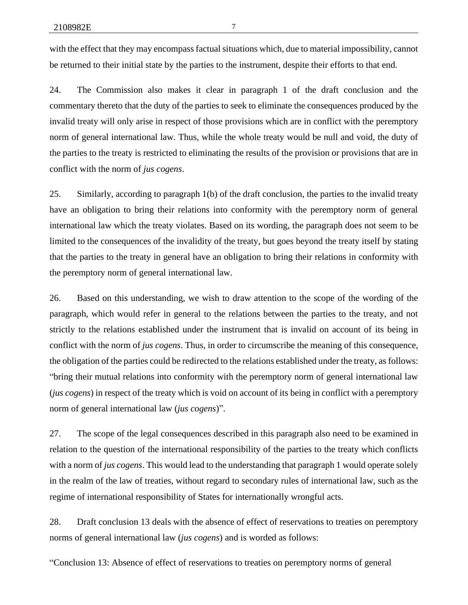with the effect that they may encompass factual situations which, due to material impossibility, cannot be returned to their initial state by the parties to the instrument, despite their efforts to that end.

24. The Commission also makes it clear in paragraph 1 of the draft conclusion and the commentary thereto that the duty of the parties to seek to eliminate the consequences produced by the invalid treaty will only arise in respect of those provisions which are in conflict with the peremptory norm of general international law. Thus, while the whole treaty would be null and void, the duty of the parties to the treaty is restricted to eliminating the results of the provision or provisions that are in conflict with the norm of *jus cogens*.

25. Similarly, according to paragraph 1(b) of the draft conclusion, the parties to the invalid treaty have an obligation to bring their relations into conformity with the peremptory norm of general international law which the treaty violates. Based on its wording, the paragraph does not seem to be limited to the consequences of the invalidity of the treaty, but goes beyond the treaty itself by stating that the parties to the treaty in general have an obligation to bring their relations in conformity with the peremptory norm of general international law.

26. Based on this understanding, we wish to draw attention to the scope of the wording of the paragraph, which would refer in general to the relations between the parties to the treaty, and not strictly to the relations established under the instrument that is invalid on account of its being in conflict with the norm of *jus cogens*. Thus, in order to circumscribe the meaning of this consequence, the obligation of the parties could be redirected to the relations established under the treaty, as follows: "bring their mutual relations into conformity with the peremptory norm of general international law (*jus cogens*) in respect of the treaty which is void on account of its being in conflict with a peremptory norm of general international law (*jus cogens*)".

27. The scope of the legal consequences described in this paragraph also need to be examined in relation to the question of the international responsibility of the parties to the treaty which conflicts with a norm of *jus cogens*. This would lead to the understanding that paragraph 1 would operate solely in the realm of the law of treaties, without regard to secondary rules of international law, such as the regime of international responsibility of States for internationally wrongful acts.

28. Draft conclusion 13 deals with the absence of effect of reservations to treaties on peremptory norms of general international law (*jus cogens*) and is worded as follows:

"Conclusion 13: Absence of effect of reservations to treaties on peremptory norms of general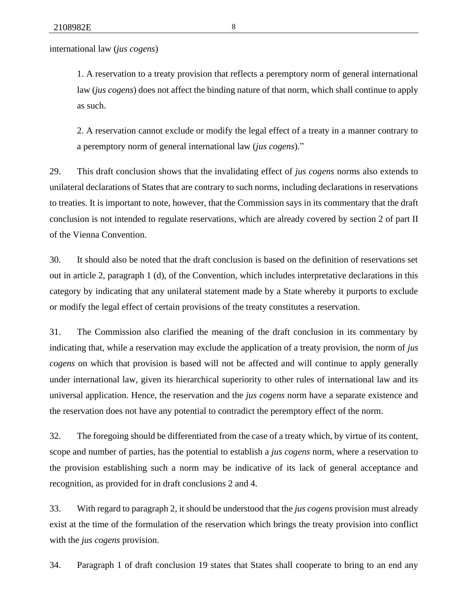international law (*jus cogens*)

1. A reservation to a treaty provision that reflects a peremptory norm of general international law (*jus cogens*) does not affect the binding nature of that norm, which shall continue to apply as such.

2. A reservation cannot exclude or modify the legal effect of a treaty in a manner contrary to a peremptory norm of general international law (*jus cogens*)."

29. This draft conclusion shows that the invalidating effect of *jus cogens* norms also extends to unilateral declarations of States that are contrary to such norms, including declarations in reservations to treaties. It is important to note, however, that the Commission says in its commentary that the draft conclusion is not intended to regulate reservations, which are already covered by section 2 of part II of the Vienna Convention.

30. It should also be noted that the draft conclusion is based on the definition of reservations set out in article 2, paragraph 1 (d), of the Convention, which includes interpretative declarations in this category by indicating that any unilateral statement made by a State whereby it purports to exclude or modify the legal effect of certain provisions of the treaty constitutes a reservation.

31. The Commission also clarified the meaning of the draft conclusion in its commentary by indicating that, while a reservation may exclude the application of a treaty provision, the norm of *jus cogens* on which that provision is based will not be affected and will continue to apply generally under international law, given its hierarchical superiority to other rules of international law and its universal application. Hence, the reservation and the *jus cogens* norm have a separate existence and the reservation does not have any potential to contradict the peremptory effect of the norm.

32. The foregoing should be differentiated from the case of a treaty which, by virtue of its content, scope and number of parties, has the potential to establish a *jus cogens* norm, where a reservation to the provision establishing such a norm may be indicative of its lack of general acceptance and recognition, as provided for in draft conclusions 2 and 4.

33. With regard to paragraph 2, it should be understood that the *jus cogens* provision must already exist at the time of the formulation of the reservation which brings the treaty provision into conflict with the *jus cogens* provision.

34. Paragraph 1 of draft conclusion 19 states that States shall cooperate to bring to an end any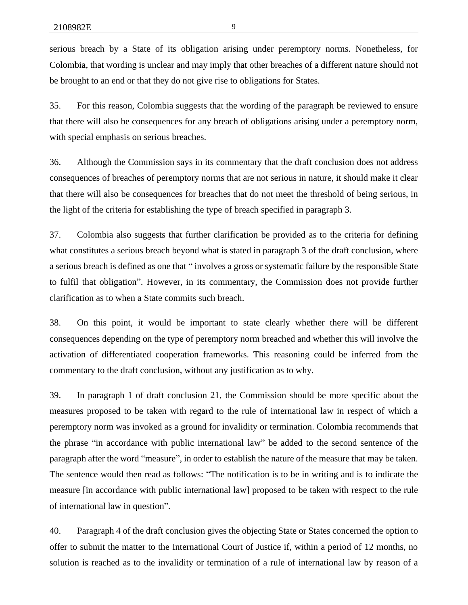serious breach by a State of its obligation arising under peremptory norms. Nonetheless, for Colombia, that wording is unclear and may imply that other breaches of a different nature should not be brought to an end or that they do not give rise to obligations for States.

35. For this reason, Colombia suggests that the wording of the paragraph be reviewed to ensure that there will also be consequences for any breach of obligations arising under a peremptory norm, with special emphasis on serious breaches.

36. Although the Commission says in its commentary that the draft conclusion does not address consequences of breaches of peremptory norms that are not serious in nature, it should make it clear that there will also be consequences for breaches that do not meet the threshold of being serious, in the light of the criteria for establishing the type of breach specified in paragraph 3.

37. Colombia also suggests that further clarification be provided as to the criteria for defining what constitutes a serious breach beyond what is stated in paragraph 3 of the draft conclusion, where a serious breach is defined as one that " involves a gross or systematic failure by the responsible State to fulfil that obligation". However, in its commentary, the Commission does not provide further clarification as to when a State commits such breach.

38. On this point, it would be important to state clearly whether there will be different consequences depending on the type of peremptory norm breached and whether this will involve the activation of differentiated cooperation frameworks. This reasoning could be inferred from the commentary to the draft conclusion, without any justification as to why.

39. In paragraph 1 of draft conclusion 21, the Commission should be more specific about the measures proposed to be taken with regard to the rule of international law in respect of which a peremptory norm was invoked as a ground for invalidity or termination. Colombia recommends that the phrase "in accordance with public international law" be added to the second sentence of the paragraph after the word "measure", in order to establish the nature of the measure that may be taken. The sentence would then read as follows: "The notification is to be in writing and is to indicate the measure [in accordance with public international law] proposed to be taken with respect to the rule of international law in question".

40. Paragraph 4 of the draft conclusion gives the objecting State or States concerned the option to offer to submit the matter to the International Court of Justice if, within a period of 12 months, no solution is reached as to the invalidity or termination of a rule of international law by reason of a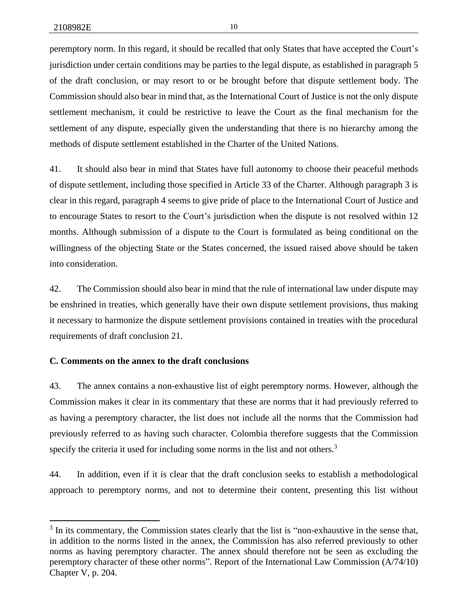peremptory norm. In this regard, it should be recalled that only States that have accepted the Court's jurisdiction under certain conditions may be parties to the legal dispute, as established in paragraph 5 of the draft conclusion, or may resort to or be brought before that dispute settlement body. The Commission should also bear in mind that, as the International Court of Justice is not the only dispute settlement mechanism, it could be restrictive to leave the Court as the final mechanism for the settlement of any dispute, especially given the understanding that there is no hierarchy among the methods of dispute settlement established in the Charter of the United Nations.

41. It should also bear in mind that States have full autonomy to choose their peaceful methods of dispute settlement, including those specified in Article 33 of the Charter. Although paragraph 3 is clear in this regard, paragraph 4 seems to give pride of place to the International Court of Justice and to encourage States to resort to the Court's jurisdiction when the dispute is not resolved within 12 months. Although submission of a dispute to the Court is formulated as being conditional on the willingness of the objecting State or the States concerned, the issued raised above should be taken into consideration.

42. The Commission should also bear in mind that the rule of international law under dispute may be enshrined in treaties, which generally have their own dispute settlement provisions, thus making it necessary to harmonize the dispute settlement provisions contained in treaties with the procedural requirements of draft conclusion 21.

### **C. Comments on the annex to the draft conclusions**

43. The annex contains a non-exhaustive list of eight peremptory norms. However, although the Commission makes it clear in its commentary that these are norms that it had previously referred to as having a peremptory character, the list does not include all the norms that the Commission had previously referred to as having such character. Colombia therefore suggests that the Commission specify the criteria it used for including some norms in the list and not others.<sup>3</sup>

44. In addition, even if it is clear that the draft conclusion seeks to establish a methodological approach to peremptory norms, and not to determine their content, presenting this list without

<sup>&</sup>lt;sup>3</sup> In its commentary, the Commission states clearly that the list is "non-exhaustive in the sense that, in addition to the norms listed in the annex, the Commission has also referred previously to other norms as having peremptory character. The annex should therefore not be seen as excluding the peremptory character of these other norms". Report of the International Law Commission (A/74/10) Chapter V, p. 204.